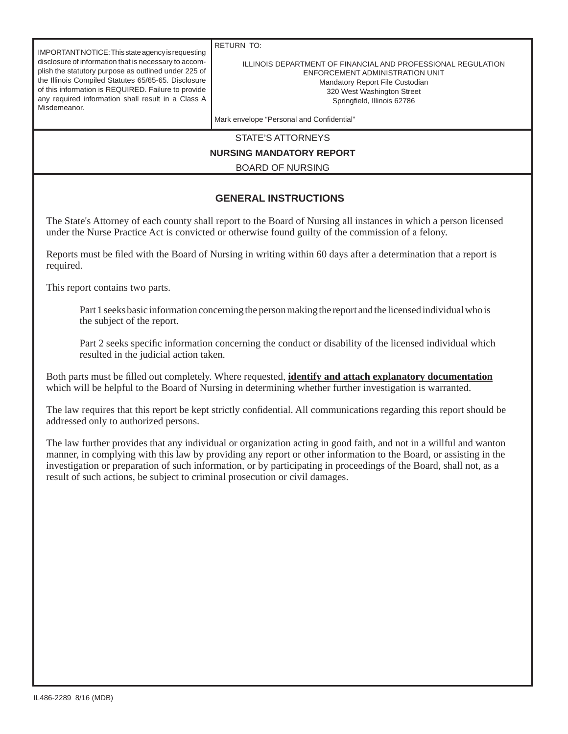IMPORTANT NOTICE: This state agency is requesting disclosure of information that is necessary to accomplish the statutory purpose as outlined under 225 of the Illinois Compiled Statutes 65/65-65. Disclosure of this information is REQUIRED. Failure to provide any required information shall result in a Class A Misdemeanor.

RETURN TO:

## ILLINOIS DEPARTMENT OF FINANCIAL AND PROFESSIONAL REGULATION ENFORCEMENT ADMINISTRATION UNIT Mandatory Report File Custodian 320 West Washington Street Springfield, Illinois 62786

Mark envelope "Personal and Confidential"

STATE'S ATTORNEYS

## **NURSING MANDATORY REPORT**

BOARD OF NURSING

## **GENERAL INSTRUCTIONS**

The State's Attorney of each county shall report to the Board of Nursing all instances in which a person licensed under the Nurse Practice Act is convicted or otherwise found guilty of the commission of a felony.

Reports must be filed with the Board of Nursing in writing within 60 days after a determination that a report is required.

This report contains two parts.

 Part 1 seeks basic information concerning the person making the report and the licensed individual who is the subject of the report.

Part 2 seeks specific information concerning the conduct or disability of the licensed individual which resulted in the judicial action taken.

Both parts must be filled out completely. Where requested, *identify and attach explanatory documentation* which will be helpful to the Board of Nursing in determining whether further investigation is warranted.

The law requires that this report be kept strictly confidential. All communications regarding this report should be addressed only to authorized persons.

The law further provides that any individual or organization acting in good faith, and not in a willful and wanton manner, in complying with this law by providing any report or other information to the Board, or assisting in the investigation or preparation of such information, or by participating in proceedings of the Board, shall not, as a result of such actions, be subject to criminal prosecution or civil damages.